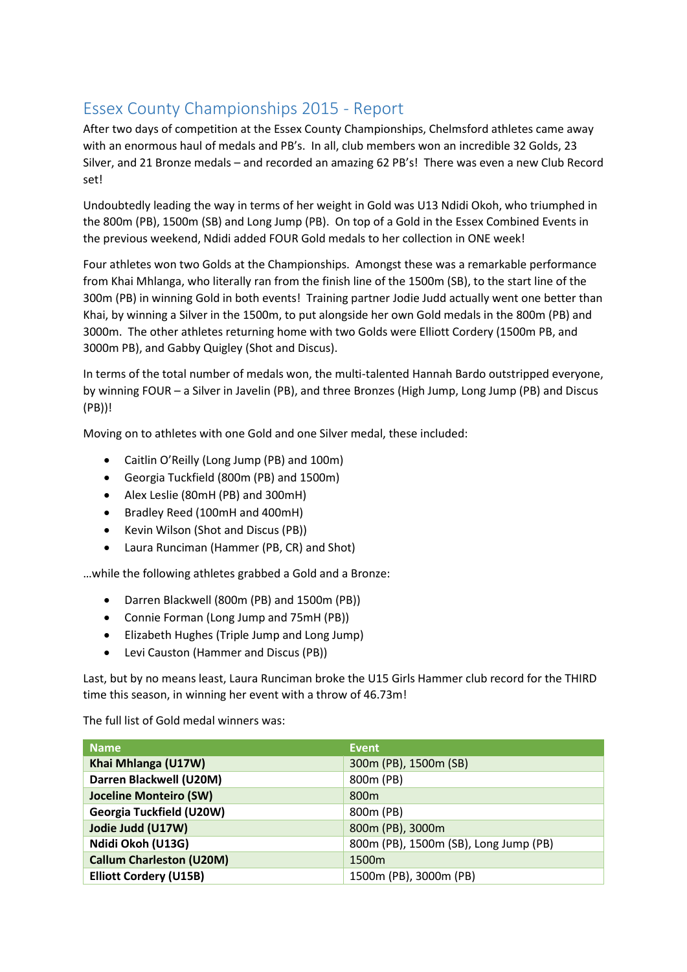## Essex County Championships 2015 - Report

After two days of competition at the Essex County Championships, Chelmsford athletes came away with an enormous haul of medals and PB's. In all, club members won an incredible 32 Golds, 23 Silver, and 21 Bronze medals – and recorded an amazing 62 PB's! There was even a new Club Record set!

Undoubtedly leading the way in terms of her weight in Gold was U13 Ndidi Okoh, who triumphed in the 800m (PB), 1500m (SB) and Long Jump (PB). On top of a Gold in the Essex Combined Events in the previous weekend, Ndidi added FOUR Gold medals to her collection in ONE week!

Four athletes won two Golds at the Championships. Amongst these was a remarkable performance from Khai Mhlanga, who literally ran from the finish line of the 1500m (SB), to the start line of the 300m (PB) in winning Gold in both events! Training partner Jodie Judd actually went one better than Khai, by winning a Silver in the 1500m, to put alongside her own Gold medals in the 800m (PB) and 3000m. The other athletes returning home with two Golds were Elliott Cordery (1500m PB, and 3000m PB), and Gabby Quigley (Shot and Discus).

In terms of the total number of medals won, the multi-talented Hannah Bardo outstripped everyone, by winning FOUR – a Silver in Javelin (PB), and three Bronzes (High Jump, Long Jump (PB) and Discus (PB))!

Moving on to athletes with one Gold and one Silver medal, these included:

- Caitlin O'Reilly (Long Jump (PB) and 100m)
- Georgia Tuckfield (800m (PB) and 1500m)
- Alex Leslie (80mH (PB) and 300mH)
- Bradley Reed (100mH and 400mH)
- Kevin Wilson (Shot and Discus (PB))
- Laura Runciman (Hammer (PB, CR) and Shot)

…while the following athletes grabbed a Gold and a Bronze:

- Darren Blackwell (800m (PB) and 1500m (PB))
- Connie Forman (Long Jump and 75mH (PB))
- Elizabeth Hughes (Triple Jump and Long Jump)
- Levi Causton (Hammer and Discus (PB))

Last, but by no means least, Laura Runciman broke the U15 Girls Hammer club record for the THIRD time this season, in winning her event with a throw of 46.73m!

The full list of Gold medal winners was:

| <b>Name</b>                     | <b>Event</b>                          |
|---------------------------------|---------------------------------------|
| Khai Mhlanga (U17W)             | 300m (PB), 1500m (SB)                 |
| Darren Blackwell (U20M)         | 800m (PB)                             |
| <b>Joceline Monteiro (SW)</b>   | 800 <sub>m</sub>                      |
| Georgia Tuckfield (U20W)        | 800m (PB)                             |
| Jodie Judd (U17W)               | 800m (PB), 3000m                      |
| Ndidi Okoh (U13G)               | 800m (PB), 1500m (SB), Long Jump (PB) |
| <b>Callum Charleston (U20M)</b> | 1500m                                 |
| <b>Elliott Cordery (U15B)</b>   | 1500m (PB), 3000m (PB)                |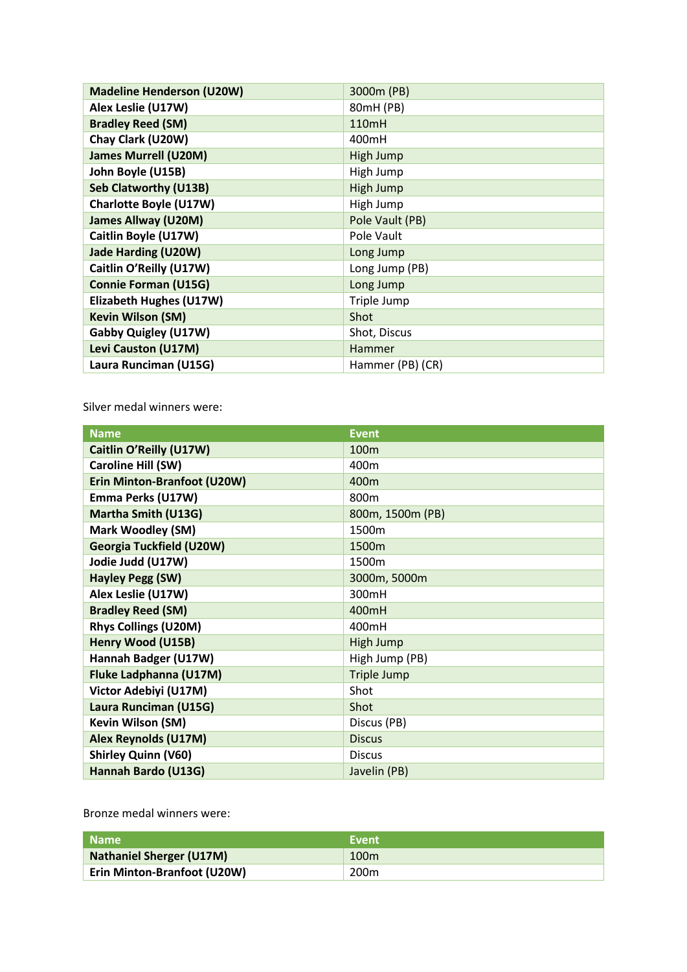| <b>Madeline Henderson (U20W)</b> | 3000m (PB)       |
|----------------------------------|------------------|
| Alex Leslie (U17W)               | 80mH (PB)        |
| <b>Bradley Reed (SM)</b>         | 110mH            |
| Chay Clark (U20W)                | 400mH            |
| <b>James Murrell (U20M)</b>      | High Jump        |
| John Boyle (U15B)                | High Jump        |
| <b>Seb Clatworthy (U13B)</b>     | High Jump        |
| <b>Charlotte Boyle (U17W)</b>    | High Jump        |
| <b>James Allway (U20M)</b>       | Pole Vault (PB)  |
| Caitlin Boyle (U17W)             | Pole Vault       |
| <b>Jade Harding (U20W)</b>       | Long Jump        |
| Caitlin O'Reilly (U17W)          | Long Jump (PB)   |
| <b>Connie Forman (U15G)</b>      | Long Jump        |
| Elizabeth Hughes (U17W)          | Triple Jump      |
| <b>Kevin Wilson (SM)</b>         | Shot             |
| <b>Gabby Quigley (U17W)</b>      | Shot, Discus     |
| Levi Causton (U17M)              | Hammer           |
| Laura Runciman (U15G)            | Hammer (PB) (CR) |

Silver medal winners were:

| <b>Name</b>                     | <b>Event</b>       |
|---------------------------------|--------------------|
| Caitlin O'Reilly (U17W)         | 100m               |
| Caroline Hill (SW)              | 400m               |
| Erin Minton-Branfoot (U20W)     | 400m               |
| Emma Perks (U17W)               | 800 <sub>m</sub>   |
| Martha Smith (U13G)             | 800m, 1500m (PB)   |
| <b>Mark Woodley (SM)</b>        | 1500m              |
| <b>Georgia Tuckfield (U20W)</b> | 1500m              |
| Jodie Judd (U17W)               | 1500m              |
| <b>Hayley Pegg (SW)</b>         | 3000m, 5000m       |
| Alex Leslie (U17W)              | 300mH              |
| <b>Bradley Reed (SM)</b>        | 400mH              |
| <b>Rhys Collings (U20M)</b>     | 400mH              |
| Henry Wood (U15B)               | <b>High Jump</b>   |
| Hannah Badger (U17W)            | High Jump (PB)     |
| Fluke Ladphanna (U17M)          | <b>Triple Jump</b> |
| Victor Adebiyi (U17M)           | Shot               |
| Laura Runciman (U15G)           | Shot               |
| Kevin Wilson (SM)               | Discus (PB)        |
| <b>Alex Reynolds (U17M)</b>     | <b>Discus</b>      |
| <b>Shirley Quinn (V60)</b>      | <b>Discus</b>      |
| Hannah Bardo (U13G)             | Javelin (PB)       |

Bronze medal winners were:

| l Name                          | Event |
|---------------------------------|-------|
| <b>Nathaniel Sherger (U17M)</b> | 100m  |
| Erin Minton-Branfoot (U20W)     | 200m  |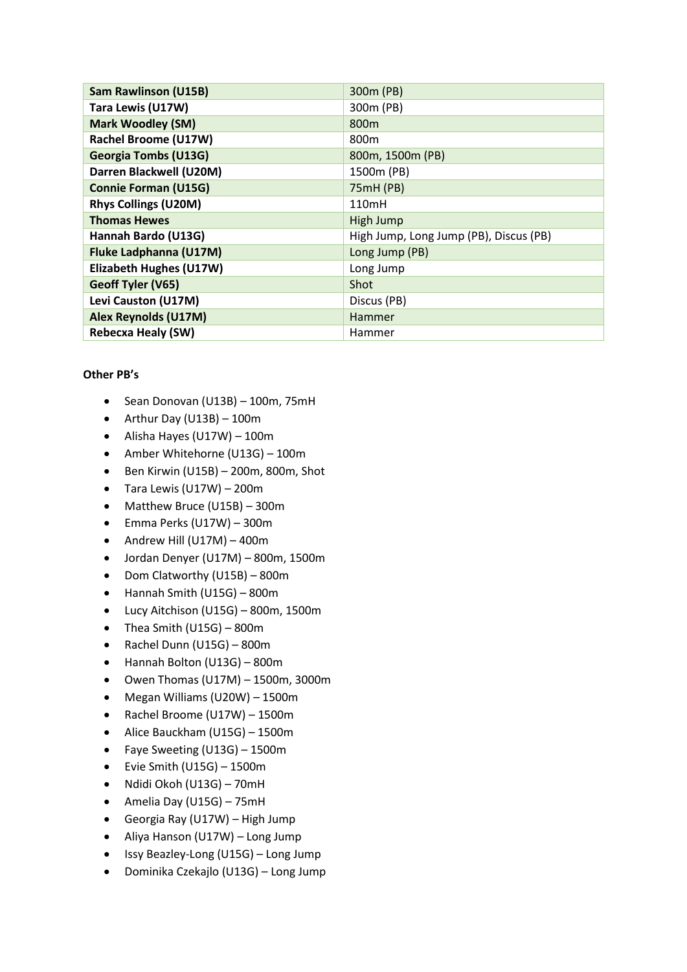| <b>Sam Rawlinson (U15B)</b>    | 300m (PB)                              |
|--------------------------------|----------------------------------------|
| Tara Lewis (U17W)              | 300m (PB)                              |
| <b>Mark Woodley (SM)</b>       | 800m                                   |
| <b>Rachel Broome (U17W)</b>    | 800 <sub>m</sub>                       |
| <b>Georgia Tombs (U13G)</b>    | 800m, 1500m (PB)                       |
| Darren Blackwell (U20M)        | 1500m (PB)                             |
| <b>Connie Forman (U15G)</b>    | 75mH (PB)                              |
| <b>Rhys Collings (U20M)</b>    | 110mH                                  |
| <b>Thomas Hewes</b>            | High Jump                              |
| Hannah Bardo (U13G)            | High Jump, Long Jump (PB), Discus (PB) |
| <b>Fluke Ladphanna (U17M)</b>  | Long Jump (PB)                         |
| <b>Elizabeth Hughes (U17W)</b> | Long Jump                              |
| Geoff Tyler (V65)              | Shot                                   |
| Levi Causton (U17M)            | Discus (PB)                            |
| <b>Alex Reynolds (U17M)</b>    | <b>Hammer</b>                          |
| <b>Rebecxa Healy (SW)</b>      | Hammer                                 |

## **Other PB's**

- $\bullet$  Sean Donovan (U13B) 100m, 75mH
- Arthur Day (U13B)  $100m$
- Alisha Hayes (U17W) 100m
- Amber Whitehorne (U13G) 100m
- $\bullet$  Ben Kirwin (U15B) 200m, 800m, Shot
- $\bullet$  Tara Lewis (U17W) 200m
- Matthew Bruce (U15B) 300m
- $\bullet$  Emma Perks (U17W) 300m
- $\bullet$  Andrew Hill (U17M) 400m
- Jordan Denyer (U17M) 800m, 1500m
- Dom Clatworthy (U15B) 800m
- Hannah Smith (U15G) 800m
- Lucy Aitchison (U15G) 800m, 1500m
- Thea Smith (U15G) 800m
- $\bullet$  Rachel Dunn (U15G) 800m
- Hannah Bolton (U13G) 800m
- $\bullet$  Owen Thomas (U17M) 1500m, 3000m
- Megan Williams (U20W) 1500m
- Rachel Broome (U17W) 1500m
- Alice Bauckham (U15G) 1500m
- Faye Sweeting (U13G) 1500m
- $\bullet$  Evie Smith (U15G) 1500m
- Ndidi Okoh (U13G) 70mH
- Amelia Day (U15G) 75mH
- Georgia Ray (U17W) High Jump
- Aliya Hanson (U17W) Long Jump
- $\bullet$  Issy Beazley-Long (U15G) Long Jump
- Dominika Czekajlo (U13G) Long Jump